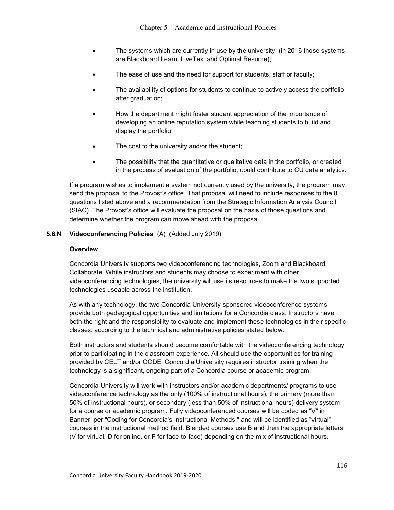- The systems which are currently in use by the university (in 2016 those systems are Blackboard Learn, LiveText and Optimal Resume);
- The ease of use and the need for support for students, staff or faculty;
- The availability of options for students to continue to actively access the portfolio after graduation;
- How the department might foster student appreciation of the importance of developing an online reputation system while teaching students to build and display the portfolio;
- The cost to the university and/or the student;
- The possibility that the quantitative or qualitative data in the portfolio, or created in the process of evaluation of the portfolio, could contribute to CU data analytics.

If a program wishes to implement a system not currently used by the university, the program may send the proposal to the Provost's office. That proposal will need to include responses to the 8 questions listed above and a recommendation from the Strategic Information Analysis Council (SIAC). The Provost's office will evaluate the proposal on the basis of those questions and determine whether the program can move ahead with the proposal.

### 5.6.N Videoconferencing Policies (A) (Added July 2019)

#### **Overview**

Concordia University supports two videoconferencing technologies, Zoom and Blackboard Collaborate. While instructors and students may choose to experiment with other videoconferencing technologies, the university will use its resources to make the two supported technologies useable across the institution.

As with any technology, the two Concordia University-sponsored videoconference systems provide both pedagogical opportunities and limitations for a Concordia class. Instructors have both the right and the responsibility to evaluate and implement these technologies in their specific classes, according to the technical and administrative policies stated below.

Both instructors and students should become comfortable with the videoconferencing technology prior to participating in the classroom experience. All should use the opportunities for training provided by CELT and/or OCDE. Concordia University requires instructor training when the technology is a significant, ongoing part of a Concordia course or academic program.

Concordia University will work with instructors and/or academic departments/ programs to use videoconference technology as the only (100% of instructional hours), the primary (more than 50% of instructional hours), or secondary (less than 50% of instructional hours) delivery system for a course or academic program. Fully videoconferenced courses will be coded as "V" in Banner, per "Coding for Concordia's Instructional Methods," and will be identified as "virtual" courses in the instructional method field. Blended courses use B and then the appropriate letters (V for virtual, D for online, or F for face-to-face) depending on the mix of instructional hours.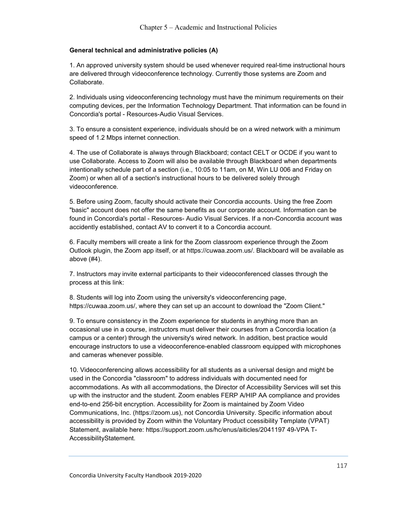# General technical and administrative policies (A)

1. An approved university system should be used whenever required real-time instructional hours are delivered through videoconference technology. Currently those systems are Zoom and Collaborate.

2. Individuals using videoconferencing technology must have the minimum requirements on their computing devices, per the Information Technology Department. That information can be found in Concordia's portal - Resources-Audio Visual Services.

3. To ensure a consistent experience, individuals should be on a wired network with a minimum speed of 1.2 Mbps internet connection.

4. The use of Collaborate is always through Blackboard; contact CELT or OCDE if you want to use Collaborate. Access to Zoom will also be available through Blackboard when departments intentionally schedule part of a section (i.e., 10:05 to 11am, on M, Win LU 006 and Friday on Zoom) or when all of a section's instructional hours to be delivered solely through videoconference.

5. Before using Zoom, faculty should activate their Concordia accounts. Using the free Zoom "basic" account does not offer the same benefits as our corporate account. Information can be found in Concordia's portal - Resources- Audio Visual Services. If a non-Concordia account was accidently established, contact AV to convert it to a Concordia account.

6. Faculty members will create a link for the Zoom classroom experience through the Zoom Outlook plugin, the Zoom app itself, or at https://cuwaa.zoom.us/. Blackboard will be available as above (#4).

7. Instructors may invite external participants to their videoconferenced classes through the process at this link:

8. Students will log into Zoom using the university's videoconferencing page, https://cuwaa.zoom.us/, where they can set up an account to download the "Zoom Client."

9. To ensure consistency in the Zoom experience for students in anything more than an occasional use in a course, instructors must deliver their courses from a Concordia location (a campus or a center) through the university's wired network. In addition, best practice would encourage instructors to use a videoconference-enabled classroom equipped with microphones and cameras whenever possible.

10. Videoconferencing allows accessibility for all students as a universal design and might be used in the Concordia "classroom" to address individuals with documented need for accommodations. As with all accommodations, the Director of Accessibility Services will set this up with the instructor and the student. Zoom enables FERP A/HIP AA compliance and provides end-to-end 256-bit encryption. Accessibility for Zoom is maintained by Zoom Video Communications, Inc. (https://zoom.us), not Concordia University. Specific information about accessibility is provided by Zoom within the Voluntary Product ccessibility Template (VPAT) Statement, available here: https://support.zoom.us/hc/enus/aiticles/2041197 49-VPA T-AccessibilityStatement.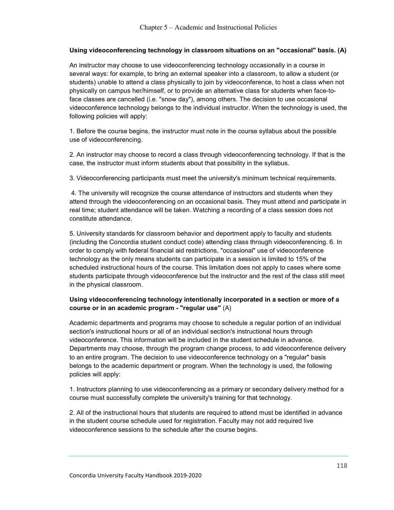# Using videoconferencing technology in classroom situations on an "occasional" basis. (A)

An instructor may choose to use videoconferencing technology occasionally in a course in several ways: for example, to bring an external speaker into a classroom, to allow a student (or students) unable to attend a class physically to join by videoconference, to host a class when not physically on campus her/himself, or to provide an alternative class for students when face-toface classes are cancelled (i.e. "snow day"), among others. The decision to use occasional videoconference technology belongs to the individual instructor. When the technology is used, the following policies will apply:

1. Before the course begins, the instructor must note in the course syllabus about the possible use of videoconferencing.

2. An instructor may choose to record a class through videoconferencing technology. If that is the case, the instructor must inform students about that possibility in the syllabus.

3. Videoconferencing participants must meet the university's minimum technical requirements.

 4. The university will recognize the course attendance of instructors and students when they attend through the videoconferencing on an occasional basis. They must attend and participate in real time; student attendance will be taken. Watching a recording of a class session does not constitute attendance.

5. University standards for classroom behavior and deportment apply to faculty and students (including the Concordia student conduct code) attending class through videoconferencing. 6. In order to comply with federal financial aid restrictions, "occasional" use of videoconference technology as the only means students can participate in a session is limited to 15% of the scheduled instructional hours of the course. This limitation does not apply to cases where some students participate through videoconference but the instructor and the rest of the class still meet in the physical classroom.

# Using videoconferencing technology intentionally incorporated in a section or more of a course or in an academic program - "regular use" (A)

Academic departments and programs may choose to schedule a regular portion of an individual section's instructional hours or all of an individual section's instructional hours through videoconference. This information will be included in the student schedule in advance. Departments may choose, through the program change process, to add videoconference delivery to an entire program. The decision to use videoconference technology on a "regular" basis belongs to the academic department or program. When the technology is used, the following policies will apply:

1. Instructors planning to use videoconferencing as a primary or secondary delivery method for a course must successfully complete the university's training for that technology.

2. All of the instructional hours that students are required to attend must be identified in advance in the student course schedule used for registration. Faculty may not add required live videoconference sessions to the schedule after the course begins.